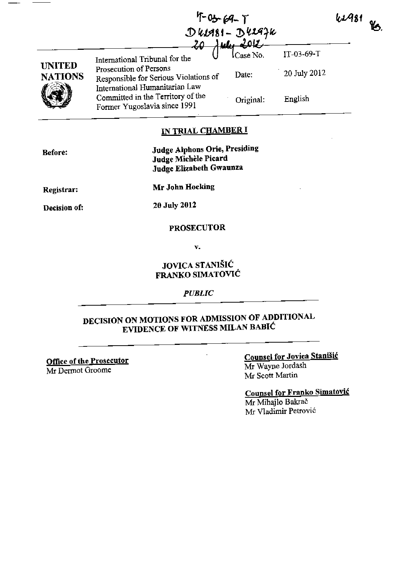| <b>WA81</b> | 86. |
|-------------|-----|
|-------------|-----|

|                                 |                                                                                                     | $U$ which $-V$                 |              |
|---------------------------------|-----------------------------------------------------------------------------------------------------|--------------------------------|--------------|
|                                 | International Tribunal for the                                                                      | $\lambda$ ulu 2012<br>Case No. | IT-03-69-T   |
| <b>UNITED</b><br><b>NATIONS</b> | Prosecution of Persons<br>Responsible for Serious Violations of                                     | Date:                          | 20 July 2012 |
|                                 | International Humanitarian Law<br>Committed in the Territory of the<br>Former Yugoslavia since 1991 | Original:                      | English      |

F-0<del>s-</del>69-T

 ${\mathfrak{D}}$  kiasi -  ${\mathfrak{D}}$ kia $\nu$ r

## IN TRIAL CHAMBER I

| Before:      | <b>Judge Alphons Orie, Presiding</b><br>Judge Michèle Picard<br><b>Judge Elizabeth Gwaunza</b> |
|--------------|------------------------------------------------------------------------------------------------|
| Registrar:   | Mr John Hocking                                                                                |
| Decision of: | 20 July 2012                                                                                   |
|              |                                                                                                |

# PROSECUTOR

v.

## JOVICA STANISIC FRANKO SIMATOVIĆ

### *PUBLIC*

## DECISION ON MOTIONS FOR ADMISSION OF ADDITIONAL EVIDENCE OF WITNESS MILAN BABIC

Office of the Prosecutor

Mr Dermot Groome

### Counsel for Jovica Stanišić Mr Wayne Jordash

Mr Scott Martin

Counsel for Franko Simatovic Mr Mihajlo Bakrač

Mr Vladimir Petrović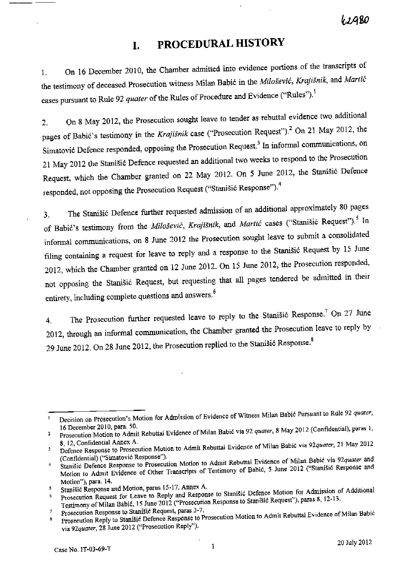62A80

## **I. PROCEDURAL HISTORY**

1. On <sup>16</sup>December 2010, the Chamber admitted into evidence portions of the transcripts of the testimony of deceased Prosecution witness Milan Babić in the *Milošević*, *Krajišnik*, and *Martić* cases pursuant to Rule 92 *quater* of the Rules of Procedure and Evidence ("Rules").<sup>1</sup>

2. On 8 May 2012, the Prosecution sought leave to tender as rebuttal evidence two additional pages of Babić's testimony in the *Krajišnik* case ("Prosecution Request").<sup>2</sup> On 21 May 2012, the Simatović Defence responded, opposing the Prosecution Request.<sup>3</sup> In informal communications, on 21 May 2012 the Stani§i6 Defence requested an additional two weeks to respond to the Prosecution Request, which the Chamber granted on 22 May 2012. On 5 June 2012, the Stanišić Defence responded, not opposing the Prosecution Request ("Stanišić Response"). $^{4}$ 

3. The Stanišić Defence further requested admission of an additional approximately 80 pages of Babić's testimony from the *Milošević*, *Krajišnik*, and *Martić* cases ("Stanišić Request").<sup>5</sup> In informal communications, on 8 June 2012 the Prosecution sought leave to submit a consolidated filing containing a request for leave to reply and a response to the Stani§i6 Request by 15 June 2012, which the Chamber granted on 12 June 2012. On 15 June 2012, the Prosecution responded, not opposing the StaniSic Request, but requesting that all pages tendered be admitted in their entirety, including complete questions and answers.<sup>6</sup>

4. The Prosecution further requested leave to reply to the Stanišić Response.<sup>7</sup> On 27 June 2012, through an informal communication, the Chamber granted the Prosecution leave to reply by 29 June 2012. On 28 June 2012, the Prosecution replied to the Stanisic Response.<sup>8</sup>

Decision on Prosecution's Motion for Admission of Evidence of Witness Milan Babić Pursuant to Rule 92 *quater*,  $\mathbf{1}$ 

<sup>16</sup> December 2010, para. 50. Prosecution Motion to Admit Rebuttal Evidence of Milan Babi6 via 92 *quater,* 8 May 2012 (Confidential), paras I, 2 S, 12, Confidential Annex A.

Defence Response to Prosecution Motion to Admit Rebuttal Evidence of Milan Babic via *92quatet,* 21 May <sup>2012</sup> 3 (Confidential) ("Simatovic Response").

<sup>4</sup>  Stanišić Defence Response to Prosecution Motion to Admit Rebuttal Evidence of Milan Babić via 92quater and Motion to Admit Evidence of Other Transcripts of Testimony of Babić, 5 June 2012 ("Stanišić Response and Motion"), para. 14.

Stanišić Response and Motion, paras 15-17, Annex A. 5

Prosecution Request for Leave to Reply and Response to Stanišić Defence Motion for Admission of Additional 6 Testimony of Milan Babić, 15 June 2012 ("Prosecution Response to Stanišić Request"), paras 8, 12-13.

Prosecution Response to Stanišić Request, paras 3-7.  $\boldsymbol{7}$ 

Prosecution Reply to Stanišić Defence Response to Prosecution Motion to Admit Rebuttal Evidence of Milan Babić via *92quater,* 28 June 2012 ("Prosecution Reply").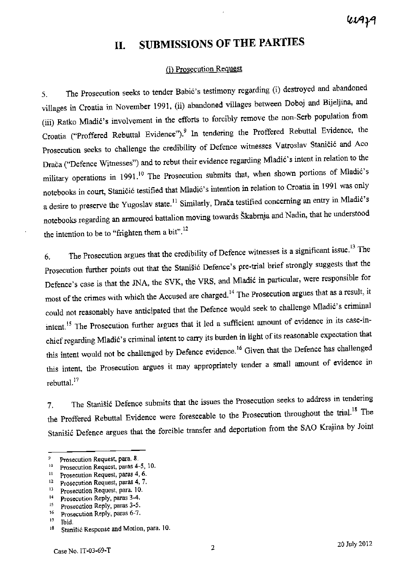waya

# **1I. SUBMISSIONS OF THE PARTIES**

### (i) Prosecution Request

5. The Prosecution seeks to tender Babie's testimony regarding (i) destroyed and abandoned villages in Croatia in November 1991, (ii) abandoned villages between Doboj and Bijeljina, and (iii) Ratko Mladić's involvement in the efforts to forcibly remove the non-Serb population from Croatia ("Proffered Rebuttal Evidence").<sup>9</sup> In tendering the Proffered Rebuttal Evidence, the Prosecution seeks to challenge the credibility of Defence witnesses Vatroslav Stanicic and Aco Drača ("Defence Witnesses") and to rebut their evidence regarding Mladić's intent in relation to the military operations in 1991.<sup>10</sup> The Prosecution submits that, when shown portions of Mladić's notebooks in court, Staničić testified that Mladić's intention in relation to Croatia in 1991 was only a desire to preserve the Yugoslav state.<sup>11</sup> Similarly, Drača testified concerning an entry in Mladić's notebooks regarding an armoured battalion moving towards Skabrnja and Nadin, that he understood the intention to be to "frighten them a bit".<sup>12</sup>

6. The Prosecution argues that the credibility of Defence witnesses is a significant issue.<sup>13</sup> The Prosecution further points out that the Stanišić Defence's pre-trial brief strongly suggests that the Defence's case is that the JNA, the SVK, the VRS, and Mladic in particular, were responsible for most of the crimes with which the Accused are charged.<sup>14</sup> The Prosecution argues that as a result, it could not reasonably have anticipated that the Defence would seek to challenge Mladić's criminal intent.<sup>15</sup> The Prosecution further argues that it led a sufficient amount of evidence in its case-inchief regarding Mladić's criminal intent to carry its burden in light of its reasonable expectation that this intent would not be challenged by Defence evidence.<sup>16</sup> Given that the Defence has challenged this intent, the Prosecution argues it may appropriately tender a small amount of evidence in rebuttal. <sup>17</sup>

7. The Stanišić Defence submits that the issues the Prosecution seeks to address in tendering the Proffered Rebuttal Evidence were foreseeable to the Prosecution throughout the trial.<sup>18</sup> The Stani§ic Defence argues that the forcible transfer and deportation from the SAO Krajina by Joint

<sup>9</sup> Prosecution Request, para. 8.

 $t_0$  Prosecution Request, paras 4-5, 10.

 $11$  Prosecution Request, paras 4, 6.

<sup>&</sup>lt;sup>12</sup> Prosecution Request, paras 4, 7.

<sup>&</sup>lt;sup>13</sup> Prosecution Request, para. 10.

<sup>&</sup>lt;sup>14</sup> Prosecution Reply, paras 3-4.

<sup>&</sup>lt;sup>15</sup> Prosecution Reply, paras 3-5.

<sup>16</sup> Prosecution Reply, paras 6-7.

 $17$  Ibid.

<sup>18</sup> Stanišić Response and Motion, para. 10.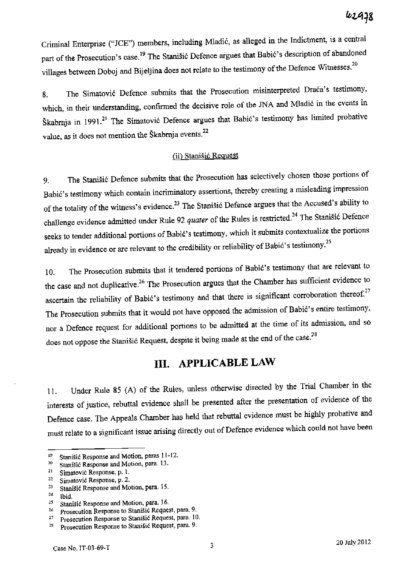Criminal Enterprise ("]CE") members, including Mladic, as al1eged in the Indictment, is a central part of the Prosecution's case.<sup>19</sup> The Stanišić Defence argues that Babić's description of abandoned villages between Doboj and Bijeljina does not relate to the testimony of the Defence Witnesses.<sup>20</sup>

8. The Simatović Defence submits that the Prosecution misinterpreted Drača's testimony, which, in their understanding, confirmed the decisive role of the JNA and Mladic in the events in Škabrnja in 1991.<sup>21</sup> The Simatović Defence argues that Babić's testimony has limited probative value, as it does not mention the Škabrnja events.<sup>22</sup>

### (ii) Stanišić Request

9. The Stani§i6 Defence submits that the Prosecution has selectively chosen those portions of Babie's testimony which contain incriminatory assertions, thereby creating a misleading impression of the totality of the witness's evidence.<sup>23</sup> The Stanišić Defence argues that the Accused's ability to challenge evidence admitted under Rule 92 *quater* of the Rules is restricted.<sup>24</sup> The Stanišić Defence seeks to tender additional portions of Babic's testimony, which it submits contextualize the portions already in evidence or are relevant to the credibility or reliability of Babić's testimony.<sup>25</sup>

10. The Prosecution submits that it tendered portions of Babic's testimony that are relevant to the case and not duplicative.<sup>26</sup> The Prosecution argues that the Chamber has sufficient evidence to ascertain the reliability of Babić's testimony and that there is significant corroboration thereof.<sup>27</sup> The Prosecution submits that it would not have opposed the admission of Babić's entire testimony, nor a Defence request for additional portions to be admitted at the time of its admission, and so does not oppose the Stanišić Request, despite it being made at the end of the case.<sup>28</sup>

# **Ill. APPLICABLE LAW**

11. Under Rule 85 (A) of the Rules, unless otherwise directed by the Trial Chamber in the interests of justice, rebuttal evidence shall be presented after the presentation of evidence of the Defence case. The Appeals Chamber has held that rebuttal evidence must be highly probative and must relate to a significant issue arising directly out of Defence evidence which could not have been

<sup>&</sup>lt;sup>19</sup> Stanišić Response and Motion, paras  $11-12$ .<br><sup>20</sup> Stanišić Reaponce and Motion, para 13.

Stanišić Response and Motion, para. 13.

<sup>&</sup>lt;sup>21</sup> Simatović Response, p. 1.

<sup>&</sup>lt;sup>22</sup> Simatović Response, p. 2.<br><sup>23</sup> Stoničić Response and Mc

<sup>&</sup>lt;sup>23</sup> Stanišić Response and Motion, para. 15.<br> $^{24}$  Staid.

 $\frac{24}{25}$  Ibid.<br> $\frac{25}{35}$  Rtan <sup>25</sup> Stanišić Response and Motion, para. 16.<br><sup>26</sup> Prescursion Response to Stanišić Reques

Prosecution Response to Stanišić Request, para. 9.

<sup>&</sup>lt;sup>27</sup> Prosecution Response to Stanišić Request, para. 10.<br><sup>28</sup> Prosecution Response to Stanišić Request, para. 9.

Prosecution Response to Stanišić Request, para. 9.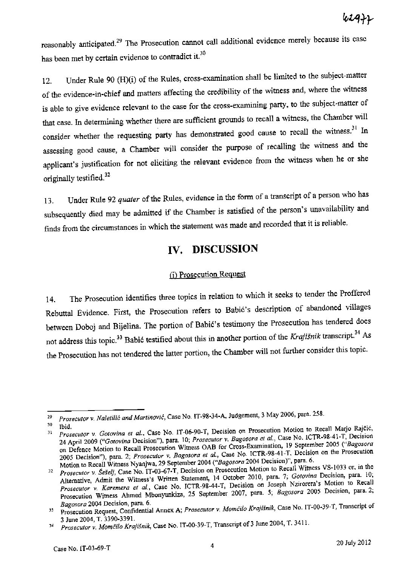reasonably anticipated.<sup>29</sup> The Prosecution cannot call additional evidence merely because its case has been met by certain evidence to contradict it.<sup>30</sup>

12. Under Rule 90 (H)(i) of the Rules, cross-examination shall be limited to the subject-matter of the evidence-in-chief and matters affecting the credibility of the witness and, where the witness is able to give evidence relevant to the case for the cross-examining party, to the subject-matter of that case. In determining whether there are sufficient grounds to recall a witness, the Chamber will consider whether the requesting party has demonstrated good cause to recall the witness.<sup>31</sup> In assessing good cause, a Chamber will consider the purpose of recalling the witness and the applicant's justification for not eliciting the relevant evidence from the witness when he or she originally testified.<sup>32</sup>

13. Under Rule 92 *quater* of the Rules, evidence in the form of a transcript of a person who has subsequently died may be admitted if the Chamber is satisfied of the person's unavailability and finds from the circumstances in which the statement was made and recorded that it is reliable.

## **IV. DISCUSSION**

### (i) Prosecution Request

14. The Prosecution identifies three topics in relation to which it seeks to tender the Proffered Rebuttal Evidence. First, the Prosecution refers to Babic's description of abandoned villages between Doboj and Bijelina. The portion of Babic's testimony the Prosecution has tendered does not address this topic.<sup>33</sup> Babić testified about this in another portion of the Krajišnik transcript.<sup>34</sup> As the Prosecution has not tendered the latter portion, the Chamber will not further consider this topic.

*<sup>29</sup> Pros.cutor* v. *Naletilic and Marlinovic,* Case No. IT.98·34·A, Judgement, 3 May 2006, para. 258.

<sup>&</sup>lt;sup>30</sup> Ibid.<br><sup>31</sup> *Prosecutor v. Gotovina et al.*, Case No. IT-06-90-T, Decision on Prosecution Motion to Recall Marjo Rajeign 24 April 2009 *("Galovina* Decision"), para. 10; *Prosecutor* v. *Bagosora et al.,* Case No. ICTR·9S-41·T, Decision on Defence Motion to Recall Prosecution Wimess CAB for Cross-Examination, 19 September 2005 *("Bagosora*  2005 Decision"), para. 2; *Prosecutor v. Bagosora et al.*, Case No. ICTR-98-41-T, Decision on the Prosecution Motion to Recall Witness Nyanjwa, 29 September 2004 *("Bagosora* 2004 Decision)", para. 6.

<sup>&</sup>lt;sup>32</sup> *Prosecutor v. Šešelj*, Case No. IT-03-67-T, Decision on Prosecution Motion to Recall Witness VS-1033 or, in the Alternative, Admit the Witness's Written Statement, 14 October 2010, para. 7; *Gotovina* Decision, para. 10; *Prosecutor v" Karemera et al.,* Case No. ICTR-98-44·T, Decision on Joseph Nzirorera's Motion to Recall Prosecution Witness Ahmed Mbonyunkiza, 25 September 2007, para. 5; *Bagosora* 2005 Decision, para. 2;

*Bagosora* 2004 Decision, para. 6. ,) Prosecution Request, Confidential Annex A; *ProseC!IIor v. Momcilo KrajiSnik,* Case No. IT-00-39-T, Transcript of 3 June 2004, T. 3390-3391.

<sup>&</sup>lt;sup>34</sup> Prosecutor v. Momčilo Krajišnik, Case No. IT-00-39-T, Transcript of 3 June 2004, T. 3411.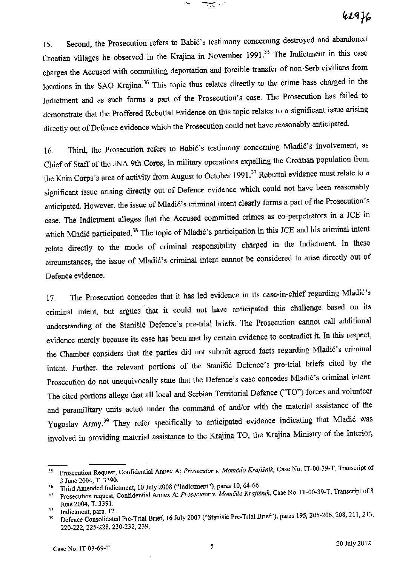15. Second, the Prosecution refers to Babic's testimony concerning destroyed and abandoned Croatian villages he observed in the Krajina in November 1991.<sup>35</sup> The Indictment in this case charges the Accused with committing deportation and forcible transfer of non-Serb civilians from locations in the SAO Krajina.<sup>36</sup> This topic thus relates directly to the crime base charged in the Indictment and as such forms a part of the Prosecution's case. The Prosecution has failed to demonstrate that the Proffered Rebuttal Evidence on this topic relates to a significant issue arising directly out of Defence evidence which the Prosecution could not have reasonably anticipated.

المناسب

16. Third, the Prosecution refers to Babić's testimony concerning Mladić's involvement, as Chief of Staff of the JNA 9th Corps, in military operations expelling the Croatian population from the Knin Corps's area of activity from August to October 1991.<sup>37</sup> Rebuttal evidence must relate to a significant issue arising directly out of Defence evidence which could not have been reasonably anticipated. However, the issue of Mladić's criminal intent clearly forms a part of the Prosecution's case. The Indictment alleges that the Accused committed crimes as co-perpetrators in a JCE in which Mladić participated.<sup>38</sup> The topic of Mladić's participation in this JCE and his criminal intent relate directly to the mode of criminal responsibility charged in the Indictment. In these circumstances, the issue of Mladić's criminal intent cannot be considered to arise directly out of Defence evidence.

17. The Prosecution concedes that it has led evidence in its case-in-chief regarding Mladić's criminal intent, but argues that it could not have anticipated this challenge based on its understanding of the Stani§ic Defence's pre-trial briefs. The Prosecution cannot call additional evidence merely because its case has been met by certain evidence to contradict it. In this respect, the Chamber considers that the parties did not submit agreed facts regarding Mladić's criminal intent. Further, the relevant portions of the Stanišić Defence's pre-trial briefs cited by the Prosecution do not unequivocally state that the Defence's case concedes Mladić's criminal intent. The cited portions allege that all local and Serbian Territorial Defence ('TO") forces and volunteer and paramilitary units acted under the command of and/or with the material assistance of the Yugoslav Army.<sup>39</sup> They refer specifically to anticipated evidence indicating that Mladić was involved in providing material assistance to the Krajina TO, the Krajina Ministry of the Interior,

<sup>&</sup>lt;sup>35</sup> Prosecution Request, Confidential Annex A; *Prosecutor v. Momčilo Krajišnik*, Case No. IT-00-39-T, Transcript of 3 June 2004, T. 3390.

<sup>16</sup> Third Amended Indictment, 10 July 2008 ("Indictment"), paras 10,64-66.

J7 Prosecution request, Confidential Annex A; *Prosecutor* v. *Momifilo Kraji!nik.* Case No. IT-00-39-T, Transcript of3 June 2004, T. 3391.

<sup>&</sup>lt;sup>38</sup> Indictment, para. 12.<br><sup>39</sup> Defence Consolidated Pre-Trial Brief, 16 July 2007 ("Stanišić Pre-Trial Brief"), paras 195, 205-206, 208, 211, 213, 220-222,225·228,230-232,239,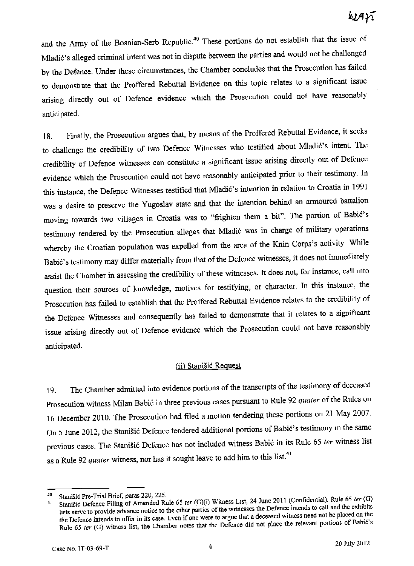and the Army of the Bosnian-Serb Republic.<sup>40</sup> These portions do not establish that the issue of Mladic's alleged criminal intent was not in dispute between the parties and would not be challenged by the Defence. Under these circumstances, the Chamber concludes that the Prosecution has failed to demonstrate that the Proffered Rebuttal Evidence on this topic relates to a significant issue arising directly out of Defence evidence which the Prosecution could not have reasonably anticipated.

18. Finally, the Prosecution argues that, by means of the Proffered Rebuttal Evidence, it seeks to challenge the credibility of two Defence Witnesses who testified about Mladić's intent. The credibility of Defence witnesses can constitute a significant issue arising directly out of Defence evidence which the Prosecution could not have reasonably anticipated prior to their testimony. In this instance, the Defence Witnesses testified that Mladic's intention in relation to Croatia in <sup>1991</sup> was a desire to preserve the Yugoslav state and that the intention behind an armoured battalion moving towards two villages in Croatia was to "frighten them a bit". The portion of Babić's testimony tendered by the Prosecution alleges that Mladic was in charge of military operations whereby the Croatian population was expelled from the area of the Knin Corps's activity. While Babic's testimony may differ materially from that of the Defence witnesses, it does not immediately assist the Chamber in assessing the credibility of these witnesses. It does not, for instance, call into question their sources of knowledge, motives for testifying, or character. In this instance, the Prosecution has failed to establish that the Proffered Rebuttal Evidence relates to the credibility of the Defence Witnesses and consequently has failed to demonstrate that it relates to a significant issue arising directly out of Defence evidence which the Prosecution could not have reasonably anticipated.

### (ii) Stanišić Request

19. The Chamber admitted into evidence portions of the transcripts of the testimony of deceased Prosecution witness Milan Babic in three previous cases pursuant to Rule 92 *quater* of the Rules on 16 December 2010. The Prosecution had filed a motion tendering these portions on <sup>21</sup>May 2007. On 5 June 2012, the Stanisic Defence tendered additional portions of Babie's testimony in the same previous cases. The Stanisic Defence has not included witness Babic in its Rule <sup>65</sup>*ter* witness list as a Rule 92 *quater* witness, nor has it sought leave to add him to this list.<sup>41</sup>

<sup>&</sup>lt;sup>40</sup> Stanišić Pre-Trial Brief, paras 220, 225.<br><sup>41</sup> Stanišić Defence Filing of Amended Br

Stanišić Defence Filing of Amended Rule 65 ter (G)(i) Witness List, 24 June 2011 (Confidential). Rule 65 ter (G) lists serve to provide advance notice to the other parties of the witnesses the Defence intends to call and the exhibits the Defence intends to offer in its case. Even if one were to argue that a deceased witness need not be placed on the Rule 65 ter (G) witness list, the Chamber notes that the Defence did not place the relevant portions of Babić's